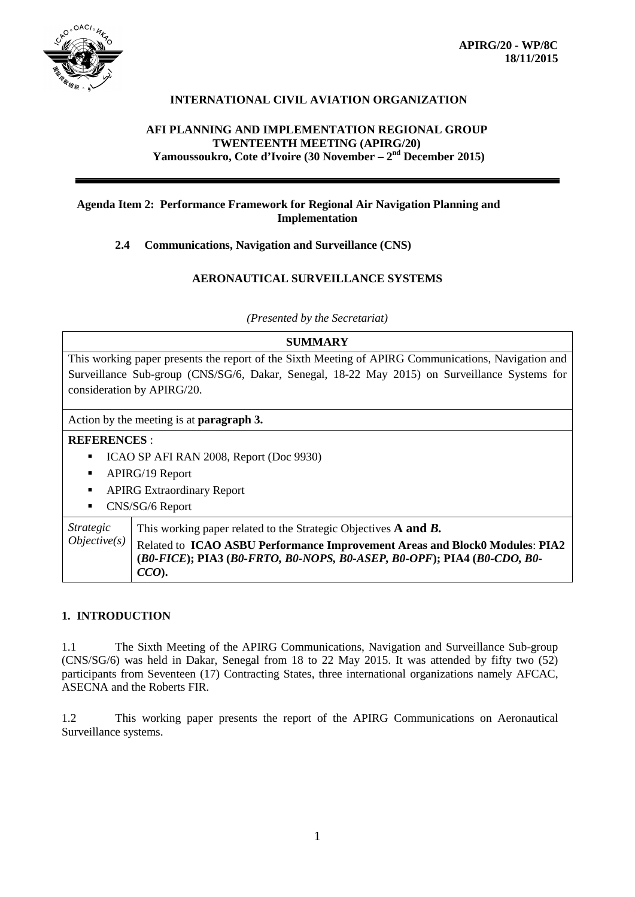

# **INTERNATIONAL CIVIL AVIATION ORGANIZATION**

#### **AFI PLANNING AND IMPLEMENTATION REGIONAL GROUP TWENTEENTH MEETING (APIRG/20) Yamoussoukro, Cote d'Ivoire (30 November – 2nd December 2015)**

# **Agenda Item 2: Performance Framework for Regional Air Navigation Planning and Implementation**

# **2.4 Communications, Navigation and Surveillance (CNS)**

# **AERONAUTICAL SURVEILLANCE SYSTEMS**

*(Presented by the Secretariat)*

# **SUMMARY**

This working paper presents the report of the Sixth Meeting of APIRG Communications, Navigation and Surveillance Sub-group (CNS/SG/6, Dakar, Senegal, 18-22 May 2015) on Surveillance Systems for consideration by APIRG/20.

Action by the meeting is at **paragraph 3.**

# **REFERENCES** :

- ICAO SP AFI RAN 2008, Report (Doc 9930)
- **-** APIRG/19 Report
- **APIRG Extraordinary Report**
- **CNS/SG/6 Report**

*Strategic Objective(s)* This working paper related to the Strategic Objectives **A and** *B.* Related to **ICAO ASBU Performance Improvement Areas and Block0 Modules**: **PIA2 (***B0-FICE***); PIA3 (***B0-FRTO, B0-NOPS, B0-ASEP, B0-OPF***); PIA4 (***B0-CDO, B0- CCO***).**

#### **1. INTRODUCTION**

1.1 The Sixth Meeting of the APIRG Communications, Navigation and Surveillance Sub-group (CNS/SG/6) was held in Dakar, Senegal from 18 to 22 May 2015. It was attended by fifty two (52) participants from Seventeen (17) Contracting States, three international organizations namely AFCAC, ASECNA and the Roberts FIR.

1.2 This working paper presents the report of the APIRG Communications on Aeronautical Surveillance systems.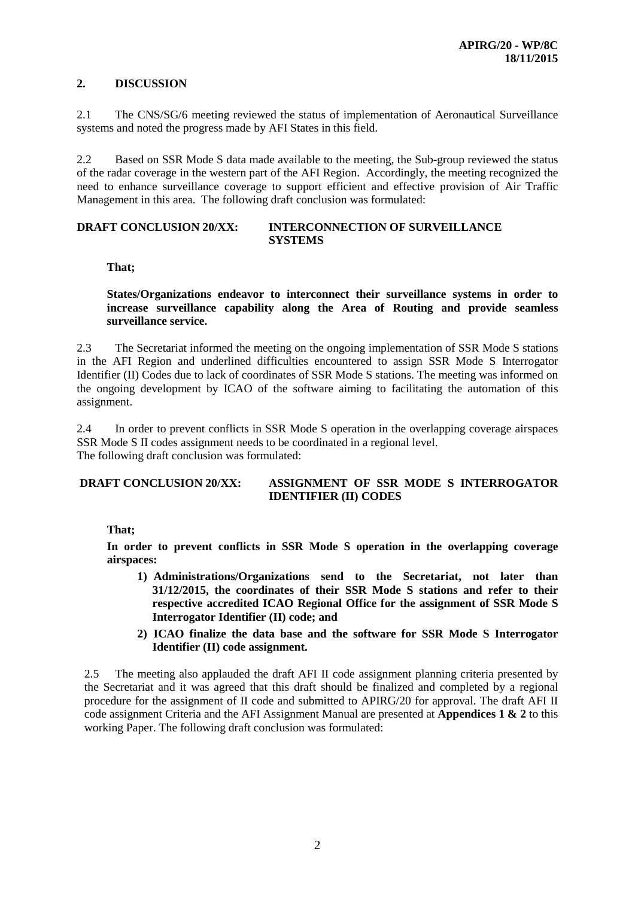# **2. DISCUSSION**

2.1 The CNS/SG/6 meeting reviewed the status of implementation of Aeronautical Surveillance systems and noted the progress made by AFI States in this field.

2.2 Based on SSR Mode S data made available to the meeting, the Sub-group reviewed the status of the radar coverage in the western part of the AFI Region. Accordingly, the meeting recognized the need to enhance surveillance coverage to support efficient and effective provision of Air Traffic Management in this area. The following draft conclusion was formulated:

#### **DRAFT CONCLUSION 20/XX: INTERCONNECTION OF SURVEILLANCE SYSTEMS**

**That;**

**States/Organizations endeavor to interconnect their surveillance systems in order to increase surveillance capability along the Area of Routing and provide seamless surveillance service.**

2.3 The Secretariat informed the meeting on the ongoing implementation of SSR Mode S stations in the AFI Region and underlined difficulties encountered to assign SSR Mode S Interrogator Identifier (II) Codes due to lack of coordinates of SSR Mode S stations. The meeting was informed on the ongoing development by ICAO of the software aiming to facilitating the automation of this assignment.

2.4 In order to prevent conflicts in SSR Mode S operation in the overlapping coverage airspaces SSR Mode S II codes assignment needs to be coordinated in a regional level. The following draft conclusion was formulated:

#### **DRAFT CONCLUSION 20/XX: ASSIGNMENT OF SSR MODE S INTERROGATOR IDENTIFIER (II) CODES**

# **That;**

**In order to prevent conflicts in SSR Mode S operation in the overlapping coverage airspaces:**

- **1) Administrations/Organizations send to the Secretariat, not later than 31/12/2015, the coordinates of their SSR Mode S stations and refer to their respective accredited ICAO Regional Office for the assignment of SSR Mode S Interrogator Identifier (II) code; and**
- **2) ICAO finalize the data base and the software for SSR Mode S Interrogator Identifier (II) code assignment.**

2.5 The meeting also applauded the draft AFI II code assignment planning criteria presented by the Secretariat and it was agreed that this draft should be finalized and completed by a regional procedure for the assignment of II code and submitted to APIRG/20 for approval. The draft AFI II code assignment Criteria and the AFI Assignment Manual are presented at **Appendices 1 & 2** to this working Paper. The following draft conclusion was formulated: